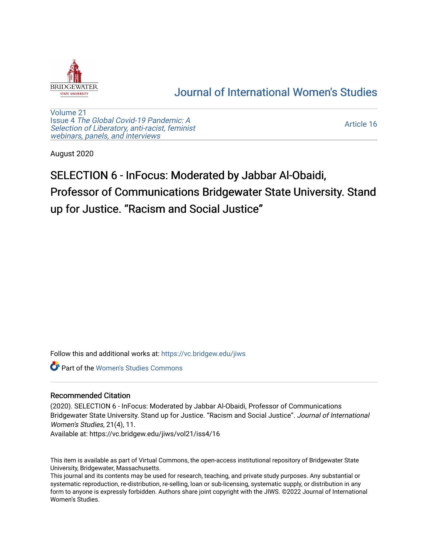

## [Journal of International Women's Studies](https://vc.bridgew.edu/jiws)

[Volume 21](https://vc.bridgew.edu/jiws/vol21) Issue 4 [The Global Covid-19 Pandemic: A](https://vc.bridgew.edu/jiws/vol21/iss4) [Selection of Liberatory, anti-racist, feminist](https://vc.bridgew.edu/jiws/vol21/iss4) [webinars, panels, and interviews](https://vc.bridgew.edu/jiws/vol21/iss4)

[Article 16](https://vc.bridgew.edu/jiws/vol21/iss4/16) 

August 2020

# SELECTION 6 - InFocus: Moderated by Jabbar Al-Obaidi, Professor of Communications Bridgewater State University. Stand up for Justice. "Racism and Social Justice"

Follow this and additional works at: [https://vc.bridgew.edu/jiws](https://vc.bridgew.edu/jiws?utm_source=vc.bridgew.edu%2Fjiws%2Fvol21%2Fiss4%2F16&utm_medium=PDF&utm_campaign=PDFCoverPages)

**C** Part of the Women's Studies Commons

### Recommended Citation

(2020). SELECTION 6 - InFocus: Moderated by Jabbar Al-Obaidi, Professor of Communications Bridgewater State University. Stand up for Justice. "Racism and Social Justice". Journal of International Women's Studies, 21(4), 11.

Available at: https://vc.bridgew.edu/jiws/vol21/iss4/16

This item is available as part of Virtual Commons, the open-access institutional repository of Bridgewater State University, Bridgewater, Massachusetts.

This journal and its contents may be used for research, teaching, and private study purposes. Any substantial or systematic reproduction, re-distribution, re-selling, loan or sub-licensing, systematic supply, or distribution in any form to anyone is expressly forbidden. Authors share joint copyright with the JIWS. ©2022 Journal of International Women's Studies.